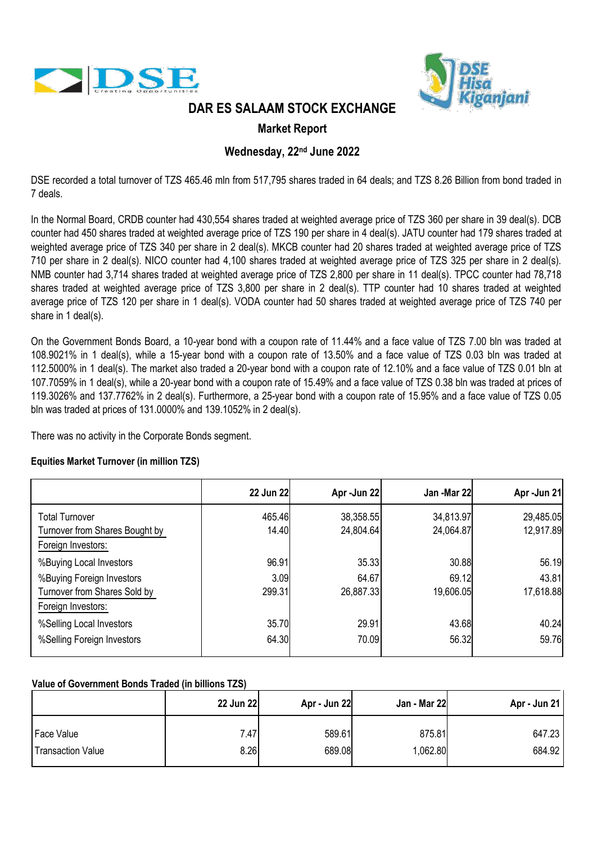



## **DAR ES SALAAM STOCK EXCHANGE**

## **Market Report**

## **Wednesday, 22nd June 2022**

DSE recorded a total turnover of TZS 465.46 mln from 517,795 shares traded in 64 deals; and TZS 8.26 Billion from bond traded in 7 deals.

In the Normal Board, CRDB counter had 430,554 shares traded at weighted average price of TZS 360 per share in 39 deal(s). DCB counter had 450 shares traded at weighted average price of TZS 190 per share in 4 deal(s). JATU counter had 179 shares traded at weighted average price of TZS 340 per share in 2 deal(s). MKCB counter had 20 shares traded at weighted average price of TZS 710 per share in 2 deal(s). NICO counter had 4,100 shares traded at weighted average price of TZS 325 per share in 2 deal(s). NMB counter had 3,714 shares traded at weighted average price of TZS 2,800 per share in 11 deal(s). TPCC counter had 78,718 shares traded at weighted average price of TZS 3,800 per share in 2 deal(s). TTP counter had 10 shares traded at weighted average price of TZS 120 per share in 1 deal(s). VODA counter had 50 shares traded at weighted average price of TZS 740 per share in 1 deal(s).

On the Government Bonds Board, a 10-year bond with a coupon rate of 11.44% and a face value of TZS 7.00 bln was traded at 108.9021% in 1 deal(s), while a 15-year bond with a coupon rate of 13.50% and a face value of TZS 0.03 bln was traded at 112.5000% in 1 deal(s). The market also traded a 20-year bond with a coupon rate of 12.10% and a face value of TZS 0.01 bln at 107.7059% in 1 deal(s), while a 20-year bond with a coupon rate of 15.49% and a face value of TZS 0.38 bln was traded at prices of 119.3026% and 137.7762% in 2 deal(s). Furthermore, a 25-year bond with a coupon rate of 15.95% and a face value of TZS 0.05 bln was traded at prices of 131.0000% and 139.1052% in 2 deal(s).

There was no activity in the Corporate Bonds segment.

### **Equities Market Turnover (in million TZS)**

|                                                                                 | 22 Jun 22       | Apr - Jun 22           | Jan -Mar 22            | Apr-Jun 21             |
|---------------------------------------------------------------------------------|-----------------|------------------------|------------------------|------------------------|
| <b>Total Turnover</b><br>Turnover from Shares Bought by<br>Foreign Investors:   | 465.46<br>14.40 | 38,358.55<br>24,804.64 | 34,813.97<br>24,064.87 | 29,485.05<br>12,917.89 |
| %Buying Local Investors                                                         | 96.91           | 35.33                  | 30.88                  | 56.19                  |
| %Buying Foreign Investors<br>Turnover from Shares Sold by<br>Foreign Investors: | 3.09<br>299.31  | 64.67<br>26,887.33     | 69.12<br>19,606.05     | 43.81<br>17,618.88     |
| %Selling Local Investors<br>%Selling Foreign Investors                          | 35.70<br>64.30  | 29.91<br>70.09         | 43.68<br>56.32         | 40.24<br>59.76         |

### **Value of Government Bonds Traded (in billions TZS)**

|                          | 22 Jun 22 | Apr - Jun 22 | Jan - Mar 22 | Apr - Jun 21 |
|--------------------------|-----------|--------------|--------------|--------------|
| Face Value               | 7.47      | 589.61       | 875.81       | 647.23       |
| <b>Transaction Value</b> | 8.26      | 689.08       | 1,062.80     | 684.92       |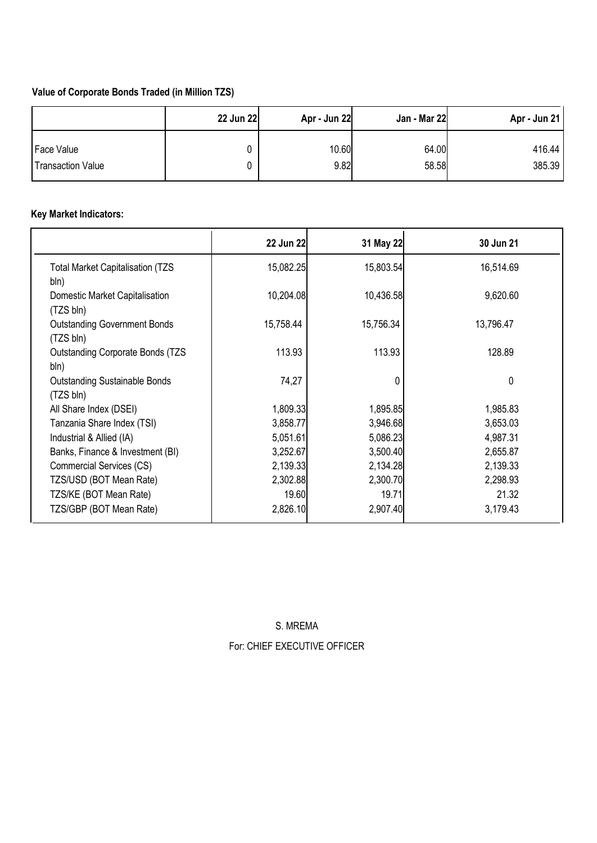## **Value of Corporate Bonds Traded (in Million TZS)**

|                          | 22 Jun 22 | Apr - Jun 22 | Jan - Mar 22 | Apr - Jun 21 |
|--------------------------|-----------|--------------|--------------|--------------|
| Face Value               |           | 10.60        | 64.00        | 416.44       |
| <b>Transaction Value</b> |           | 9.82         | 58.58        | 385.39       |

# **Key Market Indicators:**

|                                                   | 22 Jun 22 | 31 May 22 | 30 Jun 21 |
|---------------------------------------------------|-----------|-----------|-----------|
| <b>Total Market Capitalisation (TZS)</b><br>bln)  | 15,082.25 | 15,803.54 | 16,514.69 |
| Domestic Market Capitalisation<br>(TZS bln)       | 10,204.08 | 10,436.58 | 9,620.60  |
| <b>Outstanding Government Bonds</b><br>(TZS bln)  | 15,758.44 | 15,756.34 | 13,796.47 |
| <b>Outstanding Corporate Bonds (TZS)</b><br>bln)  | 113.93    | 113.93    | 128.89    |
| <b>Outstanding Sustainable Bonds</b><br>(TZS bln) | 74,27     |           | 0         |
| All Share Index (DSEI)                            | 1,809.33  | 1,895.85  | 1,985.83  |
| Tanzania Share Index (TSI)                        | 3,858.77  | 3,946.68  | 3,653.03  |
| Industrial & Allied (IA)                          | 5,051.61  | 5,086.23  | 4,987.31  |
| Banks, Finance & Investment (BI)                  | 3,252.67  | 3,500.40  | 2,655.87  |
| Commercial Services (CS)                          | 2,139.33  | 2,134.28  | 2,139.33  |
| TZS/USD (BOT Mean Rate)                           | 2,302.88  | 2,300.70  | 2,298.93  |
| TZS/KE (BOT Mean Rate)                            | 19.60     | 19.71     | 21.32     |
| TZS/GBP (BOT Mean Rate)                           | 2,826.10  | 2,907.40  | 3,179.43  |

S. MREMA For: CHIEF EXECUTIVE OFFICER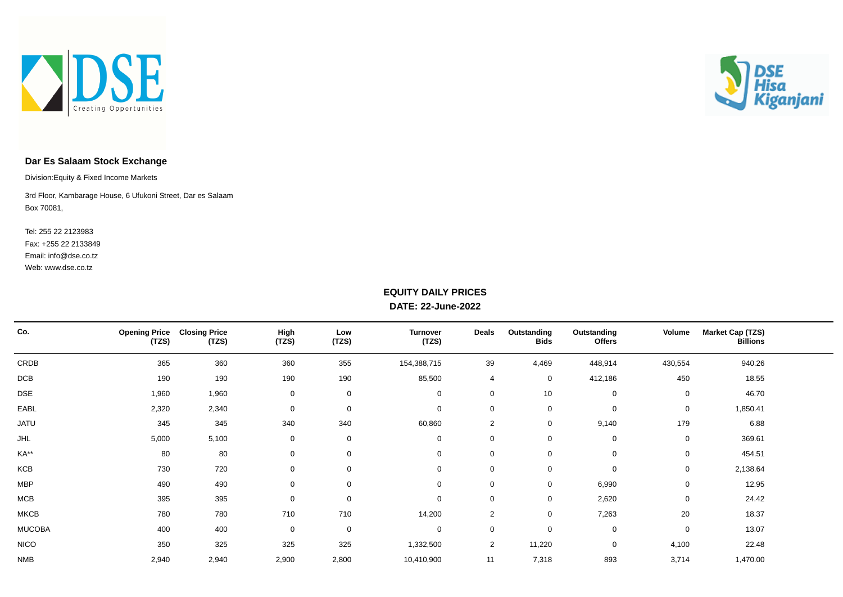



### **Dar Es Salaam Stock Exchange**

Division:Equity & Fixed Income Markets

Box 70081, 3rd Floor, Kambarage House, 6 Ufukoni Street, Dar es Salaam

Web: www.dse.co.tz Fax: +255 22 2133849 Tel: 255 22 2123983 Email: info@dse.co.tz

### **EQUITY DAILY PRICES DATE: 22-June-2022**

| Co.           | <b>Opening Price</b><br>(TZS) | <b>Closing Price</b><br>(TZS) | High<br>(TZS) | Low<br>(TZS) | <b>Turnover</b><br>(TZS) | Deals          | Outstanding<br><b>Bids</b> | Outstanding<br>Offers | Volume      | <b>Market Cap (TZS)</b><br><b>Billions</b> |  |
|---------------|-------------------------------|-------------------------------|---------------|--------------|--------------------------|----------------|----------------------------|-----------------------|-------------|--------------------------------------------|--|
| CRDB          | 365                           | 360                           | 360           | 355          | 154,388,715              | 39             | 4,469                      | 448,914               | 430,554     | 940.26                                     |  |
| DCB           | 190                           | 190                           | 190           | 190          | 85,500                   | 4              | $\mathbf{0}$               | 412,186               | 450         | 18.55                                      |  |
| DSE           | 1,960                         | 1,960                         | 0             | $\mathbf 0$  | $\mathbf 0$              | 0              | 10                         | $\mathbf 0$           | $\mathbf 0$ | 46.70                                      |  |
| EABL          | 2,320                         | 2,340                         | 0             | $\mathbf 0$  | $\mathbf 0$              | 0              | 0                          | $\mathbf 0$           | $\mathbf 0$ | 1,850.41                                   |  |
| <b>JATU</b>   | 345                           | 345                           | 340           | 340          | 60,860                   | 2              | 0                          | 9,140                 | 179         | 6.88                                       |  |
| <b>JHL</b>    | 5,000                         | 5,100                         | 0             | $\mathbf 0$  | $\mathbf 0$              | 0              | 0                          | $\mathbf 0$           | $\mathbf 0$ | 369.61                                     |  |
| KA**          | 80                            | 80                            | 0             | $\mathbf 0$  | $\mathbf 0$              | 0              | $\mathbf 0$                | $\mathbf 0$           | $\mathbf 0$ | 454.51                                     |  |
| KCB           | 730                           | 720                           | 0             | $\mathbf 0$  | $\mathbf 0$              | 0              | 0                          | 0                     | $\mathbf 0$ | 2,138.64                                   |  |
| <b>MBP</b>    | 490                           | 490                           | $\mathbf 0$   | $\mathbf 0$  | $\mathbf 0$              | 0              | 0                          | 6,990                 | $\mathbf 0$ | 12.95                                      |  |
| MCB           | 395                           | 395                           | 0             | $\mathbf 0$  | $\mathbf 0$              | 0              | 0                          | 2,620                 | $\mathbf 0$ | 24.42                                      |  |
| <b>MKCB</b>   | 780                           | 780                           | 710           | 710          | 14,200                   | 2              | 0                          | 7,263                 | 20          | 18.37                                      |  |
| <b>MUCOBA</b> | 400                           | 400                           | 0             | $\mathbf 0$  | $\mathbf 0$              | 0              | 0                          | $\mathbf 0$           | $\mathbf 0$ | 13.07                                      |  |
| <b>NICO</b>   | 350                           | 325                           | 325           | 325          | 1,332,500                | $\overline{2}$ | 11,220                     | $\mathbf 0$           | 4,100       | 22.48                                      |  |
| <b>NMB</b>    | 2,940                         | 2,940                         | 2,900         | 2,800        | 10,410,900               | 11             | 7,318                      | 893                   | 3,714       | 1,470.00                                   |  |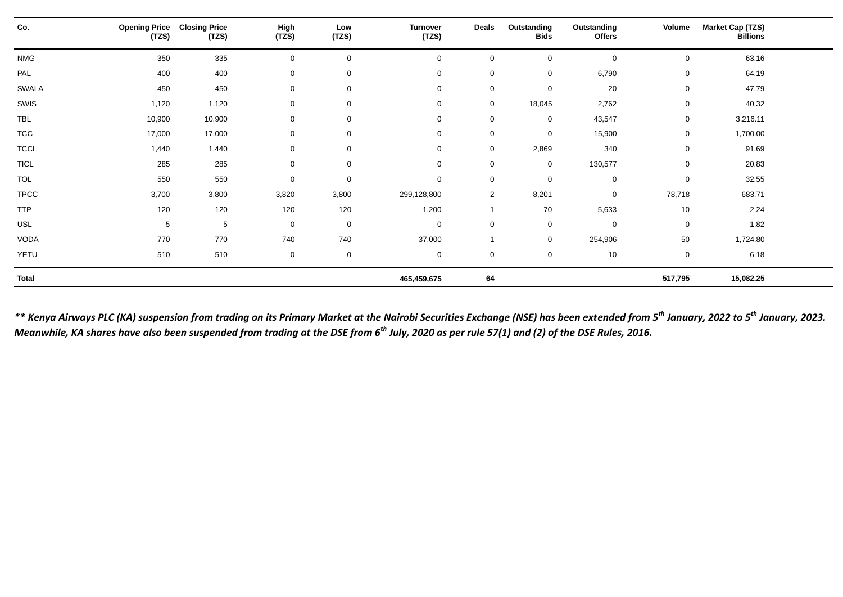| Co.          | <b>Opening Price</b><br>(TZS) | <b>Closing Price</b><br>(TZS) | High<br>(TZS) | Low<br>(TZS)        | <b>Turnover</b><br>(TZS) | <b>Deals</b>   | Outstanding<br><b>Bids</b> | Outstanding<br><b>Offers</b> | Volume      | <b>Market Cap (TZS)</b><br><b>Billions</b> |  |
|--------------|-------------------------------|-------------------------------|---------------|---------------------|--------------------------|----------------|----------------------------|------------------------------|-------------|--------------------------------------------|--|
| <b>NMG</b>   | 350                           | 335                           | $\mathsf 0$   | $\mathsf 0$         | $\mathbf 0$              | $\Omega$       | $\mathbf 0$                | $\mathbf 0$                  | 0           | 63.16                                      |  |
| PAL          | 400                           | 400                           | $\mathbf 0$   | $\mathbf 0$         | $\mathbf 0$              | $\mathbf 0$    | $\mathbf 0$                | 6,790                        | 0           | 64.19                                      |  |
| <b>SWALA</b> | 450                           | 450                           | $\mathbf 0$   | $\mathbf 0$         | $\mathbf 0$              | $\mathbf 0$    | $\mathbf 0$                | 20                           | 0           | 47.79                                      |  |
| SWIS         | 1,120                         | 1,120                         | $\mathbf 0$   | $\mathbf 0$         | $\mathbf 0$              | $\mathbf 0$    | 18,045                     | 2,762                        | 0           | 40.32                                      |  |
| <b>TBL</b>   | 10,900                        | 10,900                        | $\mathsf 0$   | $\mathsf 0$         | $\mathbf 0$              | $\mathbf 0$    | $\mathbf 0$                | 43,547                       | $\mathsf 0$ | 3,216.11                                   |  |
| <b>TCC</b>   | 17,000                        | 17,000                        | $\mathsf 0$   | $\mathsf 0$         | $\mathbf 0$              | $\mathbf 0$    | $\mathbf 0$                | 15,900                       | 0           | 1,700.00                                   |  |
| <b>TCCL</b>  | 1,440                         | 1,440                         | $\mathbf 0$   | $\mathbf 0$         | $\mathbf 0$              | $\mathbf 0$    | 2,869                      | 340                          | 0           | 91.69                                      |  |
| <b>TICL</b>  | 285                           | 285                           | $\mathbf 0$   | $\mathbf 0$         | $\mathbf 0$              | $\mathbf 0$    | $\mathbf 0$                | 130,577                      | 0           | 20.83                                      |  |
| <b>TOL</b>   | 550                           | 550                           | $\mathbf 0$   | $\mathbf 0$         | $\mathbf 0$              | $\mathbf 0$    | 0                          | $\mathbf 0$                  | 0           | 32.55                                      |  |
| <b>TPCC</b>  | 3,700                         | 3,800                         | 3,820         | 3,800               | 299,128,800              | $\overline{2}$ | 8,201                      | $\mathbf 0$                  | 78,718      | 683.71                                     |  |
| <b>TTP</b>   | 120                           | 120                           | 120           | 120                 | 1,200                    | -1             | 70                         | 5,633                        | 10          | 2.24                                       |  |
| USL          | 5                             | 5                             | $\mathbf 0$   | $\mathbf 0$         | $\mathbf 0$              | $\mathbf 0$    | $\mathbf 0$                | $\mathbf 0$                  | $\mathbf 0$ | 1.82                                       |  |
| VODA         | 770                           | 770                           | 740           | 740                 | 37,000                   |                | $\mathbf 0$                | 254,906                      | 50          | 1,724.80                                   |  |
| YETU         | 510                           | 510                           | $\mathbf 0$   | $\mathsf{O}\xspace$ | $\mathbf 0$              | $\mathbf 0$    | $\mathbf 0$                | 10                           | 0           | 6.18                                       |  |
| <b>Total</b> |                               |                               |               |                     | 465,459,675              | 64             |                            |                              | 517,795     | 15,082.25                                  |  |

*\*\* Kenya Airways PLC (KA) suspension from trading on its Primary Market at the Nairobi Securities Exchange (NSE) has been extended from 5th January, 2022 to 5th January, 2023. Meanwhile, KA shares have also been suspended from trading at the DSE from 6th July, 2020 as per rule 57(1) and (2) of the DSE Rules, 2016.*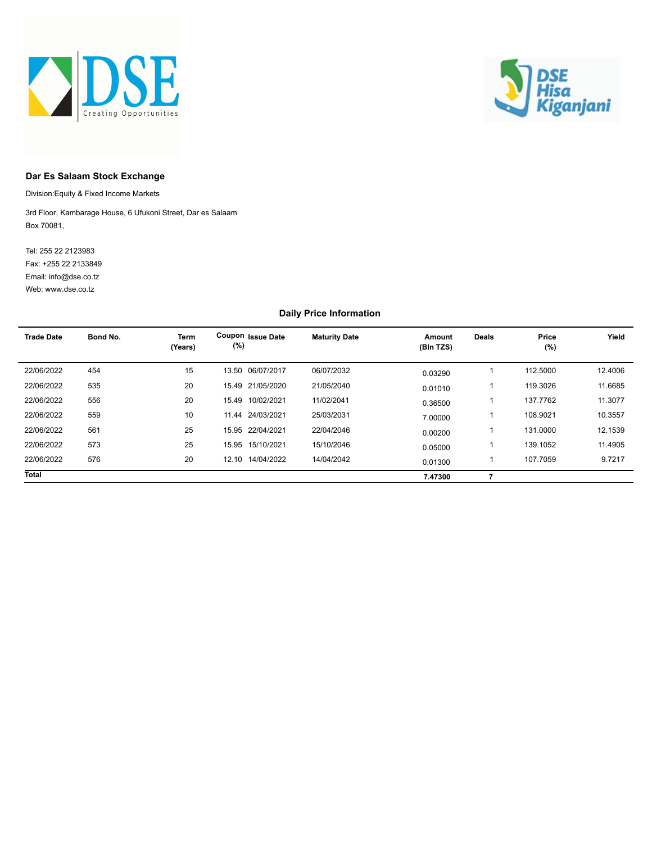



#### **Dar Es Salaam Stock Exchange**

Division:Equity & Fixed Income Markets

Box 70081, 3rd Floor, Kambarage House, 6 Ufukoni Street, Dar es Salaam

Web: www.dse.co.tz Fax: +255 22 2133849 Tel: 255 22 2123983 Email: info@dse.co.tz

#### **Daily Price Information**

| <b>Trade Date</b> | Bond No. | <b>Term</b><br>(Years) | Coupon Issue Date<br>(%) | <b>Maturity Date</b> | Amount<br>(Bln TZS) | <b>Deals</b> | Price<br>(%) | Yield   |
|-------------------|----------|------------------------|--------------------------|----------------------|---------------------|--------------|--------------|---------|
| 22/06/2022        | 454      | 15                     | 13.50 06/07/2017         | 06/07/2032           | 0.03290             |              | 112,5000     | 12.4006 |
| 22/06/2022        | 535      | 20                     | 15.49 21/05/2020         | 21/05/2040           | 0.01010             |              | 119.3026     | 11.6685 |
| 22/06/2022        | 556      | 20                     | 15.49 10/02/2021         | 11/02/2041           | 0.36500             |              | 137.7762     | 11.3077 |
| 22/06/2022        | 559      | 10                     | 11.44 24/03/2021         | 25/03/2031           | 7.00000             |              | 108.9021     | 10.3557 |
| 22/06/2022        | 561      | 25                     | 15.95 22/04/2021         | 22/04/2046           | 0.00200             |              | 131.0000     | 12.1539 |
| 22/06/2022        | 573      | 25                     | 15.95 15/10/2021         | 15/10/2046           | 0.05000             |              | 139.1052     | 11.4905 |
| 22/06/2022        | 576      | 20                     | 12.10 14/04/2022         | 14/04/2042           | 0.01300             |              | 107.7059     | 9.7217  |
| <b>Total</b>      |          |                        |                          |                      | 7.47300             |              |              |         |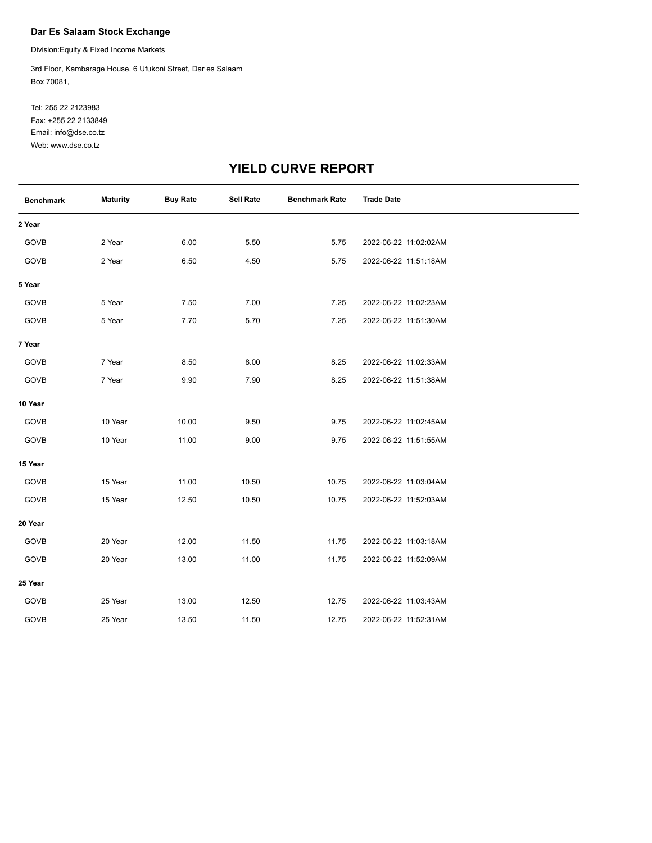#### **Dar Es Salaam Stock Exchange**

Division:Equity & Fixed Income Markets

Box 70081, 3rd Floor, Kambarage House, 6 Ufukoni Street, Dar es Salaam

Web: www.dse.co.tz Fax: +255 22 2133849 Tel: 255 22 2123983 Email: info@dse.co.tz

# **YIELD CURVE REPORT**

| <b>Benchmark</b> | <b>Maturity</b> | <b>Buy Rate</b> | <b>Sell Rate</b> | <b>Benchmark Rate</b> | <b>Trade Date</b>     |
|------------------|-----------------|-----------------|------------------|-----------------------|-----------------------|
| 2 Year           |                 |                 |                  |                       |                       |
| GOVB             | 2 Year          | 6.00            | 5.50             | 5.75                  | 2022-06-22 11:02:02AM |
| GOVB             | 2 Year          | 6.50            | 4.50             | 5.75                  | 2022-06-22 11:51:18AM |
| 5 Year           |                 |                 |                  |                       |                       |
| GOVB             | 5 Year          | 7.50            | 7.00             | 7.25                  | 2022-06-22 11:02:23AM |
| GOVB             | 5 Year          | 7.70            | 5.70             | 7.25                  | 2022-06-22 11:51:30AM |
| 7 Year           |                 |                 |                  |                       |                       |
| GOVB             | 7 Year          | 8.50            | 8.00             | 8.25                  | 2022-06-22 11:02:33AM |
| GOVB             | 7 Year          | 9.90            | 7.90             | 8.25                  | 2022-06-22 11:51:38AM |
| 10 Year          |                 |                 |                  |                       |                       |
| GOVB             | 10 Year         | 10.00           | 9.50             | 9.75                  | 2022-06-22 11:02:45AM |
| GOVB             | 10 Year         | 11.00           | 9.00             | 9.75                  | 2022-06-22 11:51:55AM |
| 15 Year          |                 |                 |                  |                       |                       |
| GOVB             | 15 Year         | 11.00           | 10.50            | 10.75                 | 2022-06-22 11:03:04AM |
| GOVB             | 15 Year         | 12.50           | 10.50            | 10.75                 | 2022-06-22 11:52:03AM |
| 20 Year          |                 |                 |                  |                       |                       |
| GOVB             | 20 Year         | 12.00           | 11.50            | 11.75                 | 2022-06-22 11:03:18AM |
| GOVB             | 20 Year         | 13.00           | 11.00            | 11.75                 | 2022-06-22 11:52:09AM |
| 25 Year          |                 |                 |                  |                       |                       |
| GOVB             | 25 Year         | 13.00           | 12.50            | 12.75                 | 2022-06-22 11:03:43AM |
| GOVB             | 25 Year         | 13.50           | 11.50            | 12.75                 | 2022-06-22 11:52:31AM |